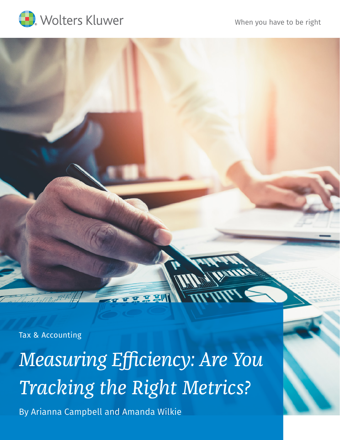[When you have to be right](https://taxna.wolterskluwer.com/)



Tax & Accounting

*Measuring Efficiency: Are You Tracking the Right Metrics?* By Arianna Campbell and Amanda Wilkie

프로빠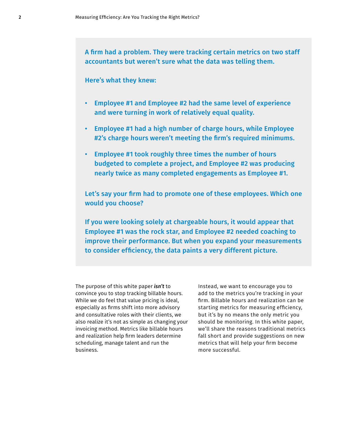A firm had a problem. They were tracking certain metrics on two staff accountants but weren't sure what the data was telling them.

# Here's what they knew:

- Employee #1 and Employee #2 had the same level of experience and were turning in work of relatively equal quality.
- Employee #1 had a high number of charge hours, while Employee #2's charge hours weren't meeting the firm's required minimums.
- Employee #1 took roughly three times the number of hours budgeted to complete a project, and Employee #2 was producing nearly twice as many completed engagements as Employee #1.

Let's say your firm had to promote one of these employees. Which one would you choose?

If you were looking solely at chargeable hours, it would appear that Employee #1 was the rock star, and Employee #2 needed coaching to improve their performance. But when you expand your measurements to consider efficiency, the data paints a very different picture.

The purpose of this white paper *isn't* to convince you to stop tracking billable hours. While we do feel that value pricing is ideal, especially as firms shift into more advisory and consultative roles with their clients, we also realize it's not as simple as changing your invoicing method. Metrics like billable hours and realization help firm leaders determine scheduling, manage talent and run the business.

Instead, we want to encourage you to add to the metrics you're tracking in your firm. Billable hours and realization can be starting metrics for measuring efficiency, but it's by no means the only metric you should be monitoring. In this white paper, we'll share the reasons traditional metrics fall short and provide suggestions on new metrics that will help your firm become more successful.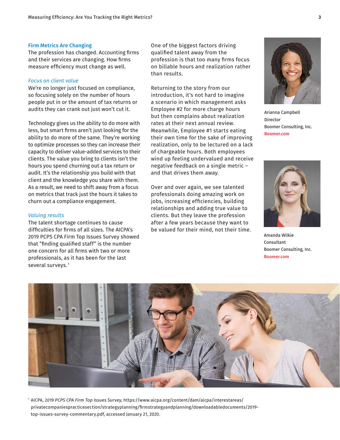## Firm Metrics Are Changing

The profession has changed. Accounting firms and their services are changing. How firms measure efficiency must change as well.

#### *Focus on client value*

We're no longer just focused on compliance, so focusing solely on the number of hours people put in or the amount of tax returns or audits they can crank out just won't cut it.

Technology gives us the ability to do more with less, but smart firms aren't just looking for the ability to do more of the same. They're working to optimize processes so they can increase their capacity to deliver value-added services to their clients. The value you bring to clients isn't the hours you spend churning out a tax return or audit. It's the relationship you build with that client and the knowledge you share with them. As a result, we need to shift away from a focus on metrics that track just the hours it takes to churn out a compliance engagement.

### *Valuing results*

The talent shortage continues to cause difficulties for firms of all sizes. The AICPA's 2019 PCPS CPA Firm Top Issues Survey showed that "finding qualified staff" is the number one concern for all firms with two or more professionals, as it has been for the last several surveys.<sup>1</sup>

One of the biggest factors driving qualified talent away from the profession is that too many firms focus on billable hours and realization rather than results.

Returning to the story from our introduction, it's not hard to imagine a scenario in which management asks Employee #2 for more charge hours but then complains about realization rates at their next annual review. Meanwhile, Employee #1 starts eating their own time for the sake of improving realization, only to be lectured on a lack of chargeable hours. Both employees wind up feeling undervalued and receive negative feedback on a single metric – and that drives them away.

Over and over again, we see talented professionals doing amazing work on jobs, increasing efficiencies, building relationships and adding true value to clients. But they leave the profession after a few years because they want to be valued for their mind, not their time.



Arianna Campbell Director Boomer Consulting, Inc. [Boomer.com](http://Boomer.com)



Amanda Wilkie Consultant Boomer Consulting, Inc. [Boomer.com](http://Boomer.com)



1 AICPA, 2*019 PCPS CPA Firm Top Issues Survey*, [https://www.aicpa.org/content/dam/aicpa/interestareas/](https://www.aicpa.org/content/dam/aicpa/interestareas/privatecompaniespracticesection/strategyplanni) [privatecompaniespracticesection/strategyplanning/firmstrategyandplanning/downloadabledocuments/2019](https://www.aicpa.org/content/dam/aicpa/interestareas/privatecompaniespracticesection/strategyplanni) [top-issues-survey-commentary.pdf](https://www.aicpa.org/content/dam/aicpa/interestareas/privatecompaniespracticesection/strategyplanni), accessed January 21, 2020.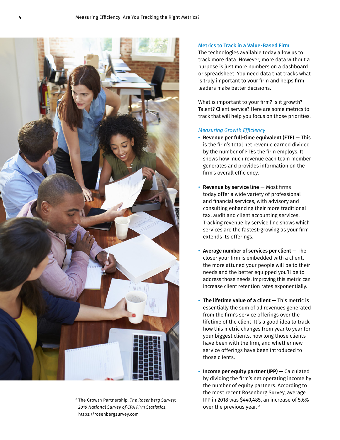

<sup>2</sup> The Growth Partnership, *The Rosenberg Survey: 2019 National Survey of CPA Firm Statistics*, <https://rosenbergsurvey.com>

## Metrics to Track in a Value-Based Firm

The technologies available today allow us to track more data. However, more data without a purpose is just more numbers on a dashboard or spreadsheet. You need data that tracks what is truly important to your firm and helps firm leaders make better decisions.

What is important to your firm? Is it growth? Talent? Client service? Here are some metrics to track that will help you focus on those priorities.

## *Measuring Growth Efficiency*

- Revenue per full-time equivalent (FTE)  $-$  This is the firm's total net revenue earned divided by the number of FTEs the firm employs. It shows how much revenue each team member generates and provides information on the firm's overall efficiency.
- **Revenue by service line**  $-$  Most firms today offer a wide variety of professional and financial services, with advisory and consulting enhancing their more traditional tax, audit and client accounting services. Tracking revenue by service line shows which services are the fastest-growing as your firm extends its offerings.
- Average number of services per client  $-$  The closer your firm is embedded with a client, the more attuned your people will be to their needs and the better equipped you'll be to address those needs. Improving this metric can increase client retention rates exponentially.
- $\cdot$  The lifetime value of a client  $-$  This metric is essentially the sum of all revenues generated from the firm's service offerings over the lifetime of the client. It's a good idea to track how this metric changes from year to year for your biggest clients, how long those clients have been with the firm, and whether new service offerings have been introduced to those clients.
- Income per equity partner (IPP) Calculated by dividing the firm's net operating income by the number of equity partners. According to the most recent Rosenberg Survey, average IPP in 2018 was \$449,485, an increase of 5.6% over the previous year.<sup>2</sup>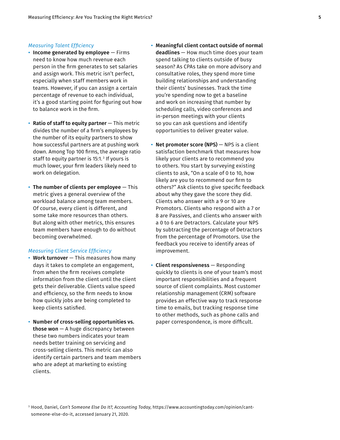### *Measuring Talent Efficiency*

- $\cdot$  Income generated by employee  $-$  Firms need to know how much revenue each person in the firm generates to set salaries and assign work. This metric isn't perfect, especially when staff members work in teams. However, if you can assign a certain percentage of revenue to each individual, it's a good starting point for figuring out how to balance work in the firm.
- Ratio of staff to equity partner  $-$  This metric divides the number of a firm's employees by the number of its equity partners to show how successful partners are at pushing work down. Among Top 100 firms, the average ratio staff to equity partner is 15:1.<sup>3</sup> If yours is much lower, your firm leaders likely need to work on delegation.
- The number of clients per employee  $-$  This metric gives a general overview of the workload balance among team members. Of course, every client is different, and some take more resources than others. But along with other metrics, this ensures team members have enough to do without becoming overwhelmed.

### *Measuring Client Service Efficiency*

- Work turnover This measures how many days it takes to complete an engagement, from when the firm receives complete information from the client until the client gets their deliverable. Clients value speed and efficiency, so the firm needs to know how quickly jobs are being completed to keep clients satisfied.
- Number of cross-selling opportunities vs. **those won**  $-$  A huge discrepancy between these two numbers indicates your team needs better training on servicing and cross-selling clients. This metric can also identify certain partners and team members who are adept at marketing to existing clients.
- Meaningful client contact outside of normal deadlines — How much time does your team spend talking to clients outside of busy season? As CPAs take on more advisory and consultative roles, they spend more time building relationships and understanding their clients' businesses. Track the time you're spending now to get a baseline and work on increasing that number by scheduling calls, video conferences and in-person meetings with your clients so you can ask questions and identify opportunities to deliver greater value.
- Net promoter score (NPS)  $-$  NPS is a client satisfaction benchmark that measures how likely your clients are to recommend you to others. You start by surveying existing clients to ask, "On a scale of 0 to 10, how likely are you to recommend our firm to others?" Ask clients to give specific feedback about why they gave the score they did. Clients who answer with a 9 or 10 are Promotors. Clients who respond with a 7 or 8 are Passives, and clients who answer with a 0 to 6 are Detractors. Calculate your NPS by subtracting the percentage of Detractors from the percentage of Promotors. Use the feedback you receive to identify areas of improvement.
- Client responsiveness Responding quickly to clients is one of your team's most important responsibilities and a frequent source of client complaints. Most customer relationship management (CRM) software provides an effective way to track response time to emails, but tracking response time to other methods, such as phone calls and paper correspondence, is more difficult.

<sup>3</sup> Hood, Daniel, *Can't Someone Else Do It?, Accounting Today*, [https://www.accountingtoday.com/opinion/cant](https://www.accountingtoday.com/opinion/cant-someone-else-do-it)[someone-else-do-it](https://www.accountingtoday.com/opinion/cant-someone-else-do-it), accessed January 21, 2020.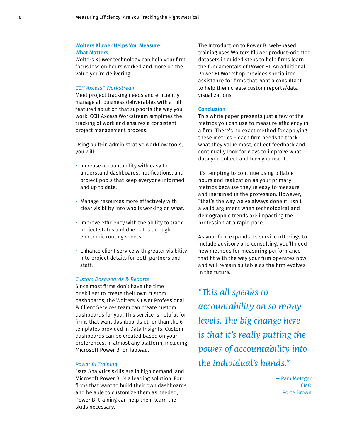# Wolters Kluwer Helps You Measure What Matters

Wolters Kluwer technology can help your firm focus less on hours worked and more on the value you're delivering.

# *CCH Axcess*™ *Workstream*

Meet project tracking needs and efficiently manage all business deliverables with a fullfeatured solution that supports the way you work. CCH Axcess Workstream simplifies the tracking of work and ensures a consistent project management process.

Using built-in administrative workflow tools, you will:

- Increase accountability with easy to understand dashboards, notifications, and project pools that keep everyone informed and up to date.
- Manage resources more effectively with clear visibility into who is working on what.
- Improve efficiency with the ability to track project status and due dates through electronic routing sheets.
- Enhance client service with greater visibility into project details for both partners and staff.

### *Custom Dashboards & Reports*

Since most firms don't have the time or skillset to create their own custom dashboards, the Wolters Kluwer Professional & Client Services team can create custom dashboards for you. This service is helpful for firms that want dashboards other than the 6 templates provided in Data Insights. Custom dashboards can be created based on your preferences, in almost any platform, including Microsoft Power BI or Tableau.

### *Power BI Training*

Data Analytics skills are in high demand, and Microsoft Power BI is a leading solution. For firms that want to build their own dashboards and be able to customize them as needed, Power BI training can help them learn the skills necessary.

The Introduction to Power BI web-based training uses Wolters Kluwer product-oriented datasets in guided steps to help firms learn the fundamentals of Power BI. An additional Power BI Workshop provides specialized assistance for firms that want a consultant to help them create custom reports/data visualizations.

### **Conclusion**

This white paper presents just a few of the metrics you can use to measure efficiency in a firm. There's no exact method for applying these metrics – each firm needs to track what they value most, collect feedback and continually look for ways to improve what data you collect and how you use it.

It's tempting to continue using billable hours and realization as your primary metrics because they're easy to measure and ingrained in the profession. However, "that's the way we've always done it" isn't a valid argument when technological and demographic trends are impacting the profession at a rapid pace.

As your firm expands its service offerings to include advisory and consulting, you'll need new methods for measuring performance that fit with the way your firm operates now and will remain suitable as the firm evolves in the future.

*"This all speaks to accountability on so many levels. The big change here is that it's really putting the power of accountability into the individual's hands."*

> — Pam Metzger CMO Porte Brown